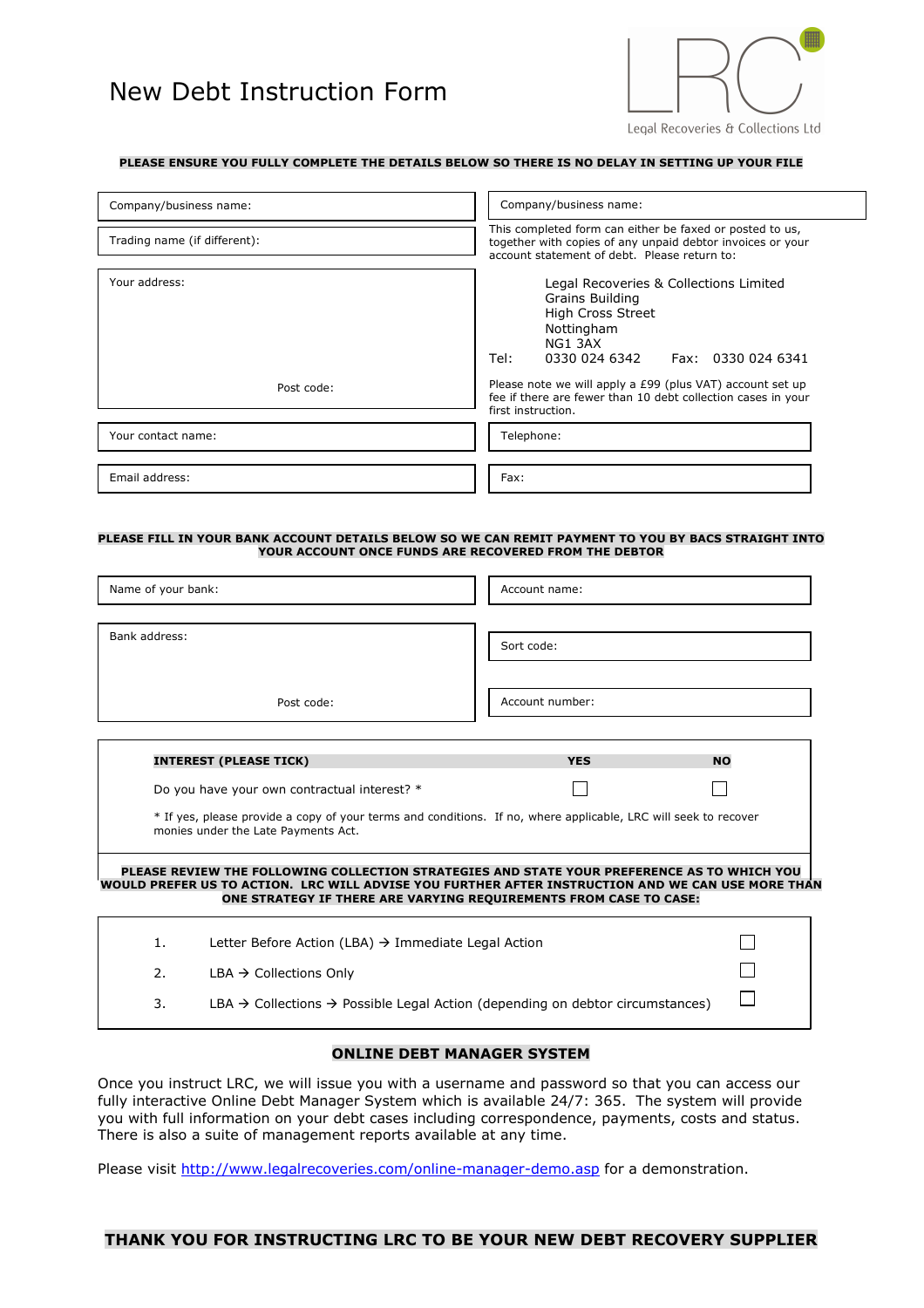# New Debt Instruction Form



#### **PLEASE ENSURE YOU FULLY COMPLETE THE DETAILS BELOW SO THERE IS NO DELAY IN SETTING UP YOUR FILE**

| Company/business name:       | Company/business name:                                                                                                                                                 |  |
|------------------------------|------------------------------------------------------------------------------------------------------------------------------------------------------------------------|--|
| Trading name (if different): | This completed form can either be faxed or posted to us,<br>together with copies of any unpaid debtor invoices or your<br>account statement of debt. Please return to: |  |
| Your address:                | Legal Recoveries & Collections Limited<br>Grains Building<br><b>High Cross Street</b><br>Nottingham<br>NG1 3AX<br>Tel:<br>0330 024 6342    Fax: 0330 024 6341          |  |
| Post code:                   | Please note we will apply a £99 (plus VAT) account set up<br>fee if there are fewer than 10 debt collection cases in your<br>first instruction.                        |  |
| Your contact name:           | Telephone:                                                                                                                                                             |  |
| Email address:               | Fax:                                                                                                                                                                   |  |

#### **PLEASE FILL IN YOUR BANK ACCOUNT DETAILS BELOW SO WE CAN REMIT PAYMENT TO YOU BY BACS STRAIGHT INTO YOUR ACCOUNT ONCE FUNDS ARE RECOVERED FROM THE DEBTOR**

| Name of your bank:                                                                                                                                                                                                                                                    |                                                                                                       | Account name:   |           |  |  |
|-----------------------------------------------------------------------------------------------------------------------------------------------------------------------------------------------------------------------------------------------------------------------|-------------------------------------------------------------------------------------------------------|-----------------|-----------|--|--|
| Bank address:                                                                                                                                                                                                                                                         |                                                                                                       | Sort code:      |           |  |  |
|                                                                                                                                                                                                                                                                       | Post code:                                                                                            | Account number: |           |  |  |
|                                                                                                                                                                                                                                                                       | <b>INTEREST (PLEASE TICK)</b>                                                                         | <b>YES</b>      | <b>NO</b> |  |  |
| Do you have your own contractual interest? *                                                                                                                                                                                                                          |                                                                                                       |                 |           |  |  |
| * If yes, please provide a copy of your terms and conditions. If no, where applicable, LRC will seek to recover<br>monies under the Late Payments Act.                                                                                                                |                                                                                                       |                 |           |  |  |
| PLEASE REVIEW THE FOLLOWING COLLECTION STRATEGIES AND STATE YOUR PREFERENCE AS TO WHICH YOU<br>WOULD PREFER US TO ACTION. LRC WILL ADVISE YOU FURTHER AFTER INSTRUCTION AND WE CAN USE MORE THAN<br>ONE STRATEGY IF THERE ARE VARYING REQUIREMENTS FROM CASE TO CASE: |                                                                                                       |                 |           |  |  |
| $\mathbf{1}$ .                                                                                                                                                                                                                                                        | Letter Before Action (LBA) $\rightarrow$ Immediate Legal Action                                       |                 |           |  |  |
| 2.                                                                                                                                                                                                                                                                    | $LBA \rightarrow$ Collections Only                                                                    |                 |           |  |  |
| 3.                                                                                                                                                                                                                                                                    | LBA $\rightarrow$ Collections $\rightarrow$ Possible Legal Action (depending on debtor circumstances) |                 |           |  |  |

#### **ONLINE DEBT MANAGER SYSTEM**

Once you instruct LRC, we will issue you with a username and password so that you can access our fully interactive Online Debt Manager System which is available 24/7: 365. The system will provide you with full information on your debt cases including correspondence, payments, costs and status. There is also a suite of management reports available at any time.

Please visit http://www.legalrecoveries.com/online-manager-demo.asp for a demonstration.

#### **THANK YOU FOR INSTRUCTING LRC TO BE YOUR NEW DEBT RECOVERY SUPPLIER**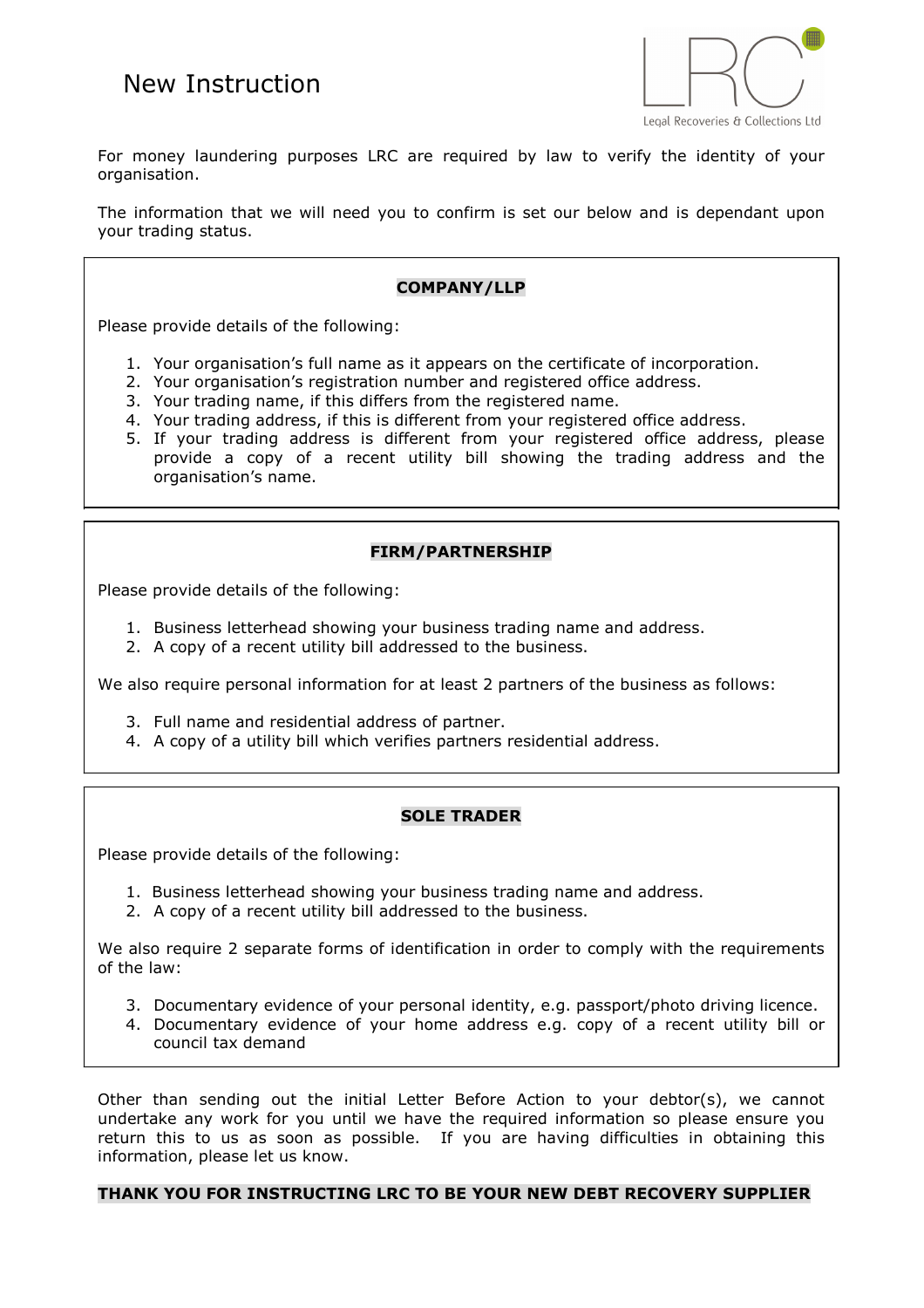

For money laundering purposes LRC are required by law to verify the identity of your organisation.

The information that we will need you to confirm is set our below and is dependant upon your trading status.

# **COMPANY/LLP**

Please provide details of the following:

- 1. Your organisation's full name as it appears on the certificate of incorporation.
- 2. Your organisation's registration number and registered office address.
- 3. Your trading name, if this differs from the registered name.
- 4. Your trading address, if this is different from your registered office address.
- 5. If your trading address is different from your registered office address, please provide a copy of a recent utility bill showing the trading address and the organisation's name.

# **FIRM/PARTNERSHIP**

Please provide details of the following:

- 1. Business letterhead showing your business trading name and address.
- 2. A copy of a recent utility bill addressed to the business.

We also require personal information for at least 2 partners of the business as follows:

- 3. Full name and residential address of partner.
- 4. A copy of a utility bill which verifies partners residential address.

### **SOLE TRADER**

Please provide details of the following:

- 1. Business letterhead showing your business trading name and address.
- 2. A copy of a recent utility bill addressed to the business.

We also require 2 separate forms of identification in order to comply with the requirements of the law:

- 3. Documentary evidence of your personal identity, e.g. passport/photo driving licence.
- 4. Documentary evidence of your home address e.g. copy of a recent utility bill or council tax demand

Other than sending out the initial Letter Before Action to your debtor(s), we cannot undertake any work for you until we have the required information so please ensure you return this to us as soon as possible. If you are having difficulties in obtaining this information, please let us know.

### **THANK YOU FOR INSTRUCTING LRC TO BE YOUR NEW DEBT RECOVERY SUPPLIER**